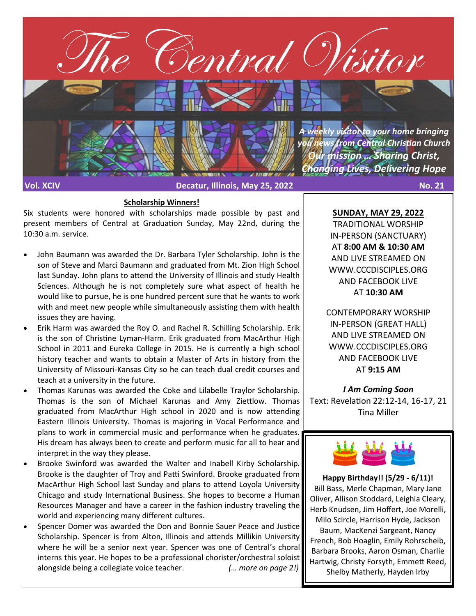

#### **Scholarship Winners!**

Six students were honored with scholarships made possible by past and present members of Central at Graduation Sunday, May 22nd, during the 10:30 a.m. service.

- John Baumann was awarded the Dr. Barbara Tyler Scholarship. John is the son of Steve and Marci Baumann and graduated from Mt. Zion High School last Sunday. John plans to attend the University of Illinois and study Health Sciences. Although he is not completely sure what aspect of health he would like to pursue, he is one hundred percent sure that he wants to work with and meet new people while simultaneously assisting them with health issues they are having.
- Erik Harm was awarded the Roy O. and Rachel R. Schilling Scholarship. Erik is the son of Christine Lyman-Harm. Erik graduated from MacArthur High School in 2011 and Eureka College in 2015. He is currently a high school history teacher and wants to obtain a Master of Arts in history from the University of Missouri-Kansas City so he can teach dual credit courses and teach at a university in the future.
- Thomas Karunas was awarded the Coke and Lilabelle Traylor Scholarship. Thomas is the son of Michael Karunas and Amy Ziettlow. Thomas graduated from MacArthur High school in 2020 and is now attending Eastern Illinois University. Thomas is majoring in Vocal Performance and plans to work in commercial music and performance when he graduates. His dream has always been to create and perform music for all to hear and interpret in the way they please.
- Brooke Swinford was awarded the Walter and Inabell Kirby Scholarship. Brooke is the daughter of Troy and Patti Swinford. Brooke graduated from MacArthur High School last Sunday and plans to attend Loyola University Chicago and study International Business. She hopes to become a Human Resources Manager and have a career in the fashion industry traveling the world and experiencing many different cultures.
- Spencer Domer was awarded the Don and Bonnie Sauer Peace and Justice Scholarship. Spencer is from Alton, Illinois and attends Millikin University where he will be a senior next year. Spencer was one of Central's choral interns this year. He hopes to be a professional chorister/orchestral soloist alongside being a collegiate voice teacher. *(… more on page 2!)*

**SUNDAY, MAY 29, 2022** TRADITIONAL WORSHIP IN-PERSON (SANCTUARY) AT **8:00 AM & 10:30 AM**  AND LIVE STREAMED ON WWW.CCCDISCIPLES.ORG AND FACEBOOK LIVE AT **10:30 AM**

CONTEMPORARY WORSHIP IN-PERSON (GREAT HALL) AND LIVE STREAMED ON WWW.CCCDISCIPLES.ORG AND FACEBOOK LIVE AT **9:15 AM**

*I Am Coming Soon* Text: Revelation 22:12-14, 16-17, 21 Tina Miller



**Happy Birthday!! (5/29 - 6/11)!** Bill Bass, Merle Chapman, Mary Jane Oliver, Allison Stoddard, Leighia Cleary, Herb Knudsen, Jim Hoffert, Joe Morelli, Milo Scircle, Harrison Hyde, Jackson Baum, MacKenzi Sargeant, Nancy French, Bob Hoaglin, Emily Rohrscheib, Barbara Brooks, Aaron Osman, Charlie Hartwig, Christy Forsyth, Emmett Reed, Shelby Matherly, Hayden Irby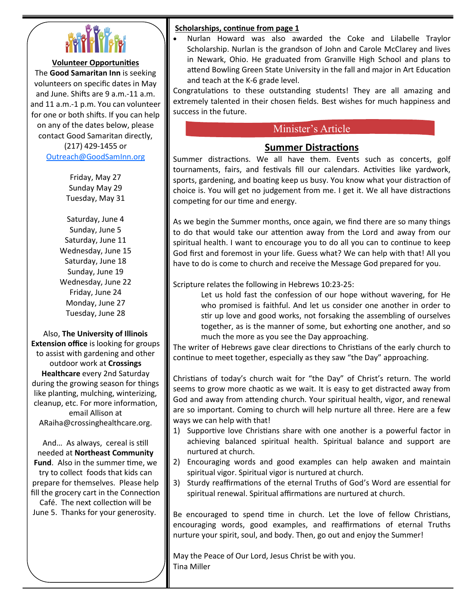

#### **Volunteer Opportunities**

The **Good Samaritan Inn** is seeking volunteers on specific dates in May and June. Shifts are 9 a.m.-11 a.m. and 11 a.m.-1 p.m. You can volunteer for one or both shifts. If you can help on any of the dates below, please contact Good Samaritan directly, (217) 429-1455 or [Outreach@GoodSamInn.org](mailto:Outreach@GoodSamInn.org)

> Friday, May 27 Sunday May 29 Tuesday, May 31

Saturday, June 4 Sunday, June 5 Saturday, June 11 Wednesday, June 15 Saturday, June 18 Sunday, June 19 Wednesday, June 22 Friday, June 24 Monday, June 27 Tuesday, June 28

Also, **The University of Illinois Extension office** is looking for groups to assist with gardening and other outdoor work at **Crossings Healthcare** every 2nd Saturday during the growing season for things like planting, mulching, winterizing, cleanup, etc. For more information, email Allison at ARaiha@crossinghealthcare.org.

And… As always, cereal is still needed at **Northeast Community Fund**. Also in the summer time, we try to collect foods that kids can prepare for themselves. Please help fill the grocery cart in the Connection Café. The next collection will be

June 5. Thanks for your generosity.

#### **Scholarships, continue from page 1**

• Nurlan Howard was also awarded the Coke and Lilabelle Traylor Scholarship. Nurlan is the grandson of John and Carole McClarey and lives in Newark, Ohio. He graduated from Granville High School and plans to attend Bowling Green State University in the fall and major in Art Education and teach at the K-6 grade level.

Congratulations to these outstanding students! They are all amazing and extremely talented in their chosen fields. Best wishes for much happiness and success in the future.

### Minister's Article

#### **Summer Distractions**

Summer distractions. We all have them. Events such as concerts, golf tournaments, fairs, and festivals fill our calendars. Activities like yardwork, sports, gardening, and boating keep us busy. You know what your distraction of choice is. You will get no judgement from me. I get it. We all have distractions competing for our time and energy.

As we begin the Summer months, once again, we find there are so many things to do that would take our attention away from the Lord and away from our spiritual health. I want to encourage you to do all you can to continue to keep God first and foremost in your life. Guess what? We can help with that! All you have to do is come to church and receive the Message God prepared for you.

Scripture relates the following in Hebrews 10:23-25:

Let us hold fast the confession of our hope without wavering, for He who promised is faithful. And let us consider one another in order to stir up love and good works, not forsaking the assembling of ourselves together, as is the manner of some, but exhorting one another, and so much the more as you see the Day approaching.

The writer of Hebrews gave clear directions to Christians of the early church to continue to meet together, especially as they saw "the Day" approaching.

Christians of today's church wait for "the Day" of Christ's return. The world seems to grow more chaotic as we wait. It is easy to get distracted away from God and away from attending church. Your spiritual health, vigor, and renewal are so important. Coming to church will help nurture all three. Here are a few ways we can help with that!

- 1) Supportive love Christians share with one another is a powerful factor in achieving balanced spiritual health. Spiritual balance and support are nurtured at church.
- 2) Encouraging words and good examples can help awaken and maintain spiritual vigor. Spiritual vigor is nurtured at church.
- 3) Sturdy reaffirmations of the eternal Truths of God's Word are essential for spiritual renewal. Spiritual affirmations are nurtured at church.

Be encouraged to spend time in church. Let the love of fellow Christians, encouraging words, good examples, and reaffirmations of eternal Truths nurture your spirit, soul, and body. Then, go out and enjoy the Summer!

May the Peace of Our Lord, Jesus Christ be with you. Tina Miller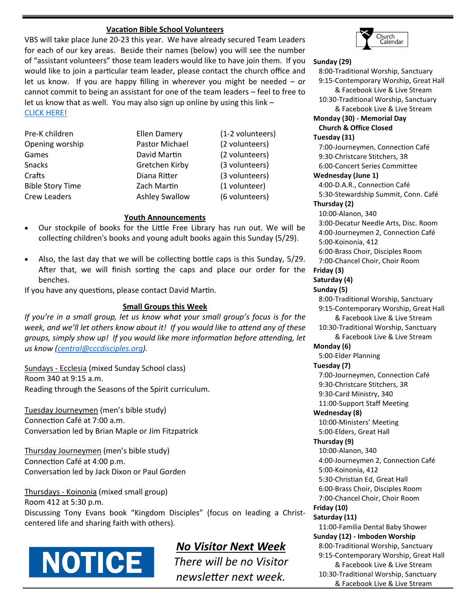#### **Vacation Bible School Volunteers**

VBS will take place June 20-23 this year. We have already secured Team Leaders for each of our key areas. Beside their names (below) you will see the number of "assistant volunteers" those team leaders would like to have join them. If you would like to join a particular team leader, please contact the church office and let us know. If you are happy filling in wherever you might be needed – or cannot commit to being an assistant for one of the team leaders – feel to free to let us know that as well. You may also sign up online by using this link – [CLICK HERE!](https://cccdisciples.shelbynextchms.com/external/form/b0cdfe5d-74d7-4750-8392-5389b38c1b2c)

Pre-K children Ellen Damery (1-2 volunteers) Crew Leaders **Ashley Swallow** (6 volunteers)

Opening worship Pastor Michael (2 volunteers) Games **David Martin** (2 volunteers) Snacks Gretchen Kirby (3 volunteers) Crafts Diana Ritter (3 volunteers) Bible Story Time Zach Martin (1 volunteer)

#### **Youth Announcements**

- Our stockpile of books for the Little Free Library has run out. We will be collecting children's books and young adult books again this Sunday (5/29).
- Also, the last day that we will be collecting bottle caps is this Sunday, 5/29. After that, we will finish sorting the caps and place our order for the benches.

If you have any questions, please contact David Martin.

#### **Small Groups this Week**

*If you're in a small group, let us know what your small group's focus is for the week, and we'll let others know about it! If you would like to attend any of these groups, simply show up! If you would like more information before attending, let us know [\(central@cccdisciples.org\)](mailto:central@cccdisciples.org).* 

Sundays - Ecclesia (mixed Sunday School class) Room 340 at 9:15 a.m. Reading through the Seasons of the Spirit curriculum.

Tuesday Journeymen (men's bible study) Connection Café at 7:00 a.m. Conversation led by Brian Maple or Jim Fitzpatrick

Thursday Journeymen (men's bible study) Connection Café at 4:00 p.m. Conversation led by Jack Dixon or Paul Gorden

Thursdays - Koinonia (mixed small group) Room 412 at 5:30 p.m. Discussing Tony Evans book "Kingdom Disciples" (focus on leading a Christcentered life and sharing faith with others).

# **NOTICE**

## *No Visitor Next Week*

*There will be no Visitor newsletter next week.*



**Sunday (29)** 8:00-Traditional Worship, Sanctuary 9:15-Contemporary Worship, Great Hall & Facebook Live & Live Stream 10:30-Traditional Worship, Sanctuary & Facebook Live & Live Stream **Monday (30) - Memorial Day Church & Office Closed Tuesday (31)** 7:00-Journeymen, Connection Café 9:30-Christcare Stitchers, 3R 6:00-Concert Series Committee **Wednesday (June 1)** 4:00-D.A.R., Connection Café 5:30-Stewardship Summit, Conn. Café **Thursday (2)** 10:00-Alanon, 340 3:00-Decatur Needle Arts, Disc. Room 4:00-Journeymen 2, Connection Café 5:00-Koinonia, 412 6:00-Brass Choir, Disciples Room 7:00-Chancel Choir, Choir Room **Friday (3) Saturday (4) Sunday (5)** 8:00-Traditional Worship, Sanctuary 9:15-Contemporary Worship, Great Hall & Facebook Live & Live Stream 10:30-Traditional Worship, Sanctuary & Facebook Live & Live Stream **Monday (6)** 5:00-Elder Planning **Tuesday (7)** 7:00-Journeymen, Connection Café 9:30-Christcare Stitchers, 3R 9:30-Card Ministry, 340 11:00-Support Staff Meeting **Wednesday (8)** 10:00-Ministers' Meeting 5:00-Elders, Great Hall **Thursday (9)** 10:00-Alanon, 340 4:00-Journeymen 2, Connection Café 5:00-Koinonia, 412 5:30-Christian Ed, Great Hall 6:00-Brass Choir, Disciples Room 7:00-Chancel Choir, Choir Room **Friday (10) Saturday (11)** 11:00-Familia Dental Baby Shower **Sunday (12) - Imboden Worship** 8:00-Traditional Worship, Sanctuary 9:15-Contemporary Worship, Great Hall & Facebook Live & Live Stream 10:30-Traditional Worship, Sanctuary

& Facebook Live & Live Stream